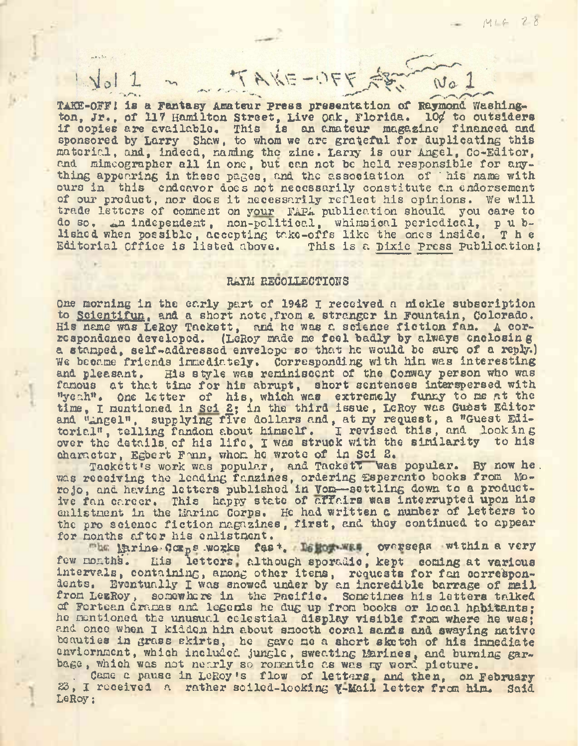**TAKE-OFF<sup>1</sup> is <sup>a</sup> Fantasy Amateur press presentation of Raymond. Washing**ton, Jr., of 117 Hamilton Street, Live Oak, Florida. 10¢ to outsiders if copies are available. This is an amateur magazine financed and sponsored by Larry Shaw, to whom we are grateful for duplicating this material, and, indeed, naming the zine. Larxy is our Angel, Go-Editor, and mimcographer all in one, but can not be held responsible for anything appearing in these pages, and the association of ' his name with ours in this endeavor does not necessarily constitute an endorsement ours in this enautor aces not necessarily constitute an endorsement<br>of our product, nor does it necessarily reflect his opinions. We will trade letters of comment on your FAPA publication should you care to do so. An independent, non-politicc.l, whimsical periodical, p u blished when possible, accepting take-offs like the ones inside. The Editorial Office is listed above. This is a Pixie Press publication:

TAKE-OFF ART NO 1

#### RAYM RECOLLECTIONS

One morning in the early part of 1942 I received a nickle subscription to Solentifun, and a short note .from a stranger in Fountain, Colorado. His name was LeRoy Tackett, and he was a science fiction fan. <sup>A</sup> correspondence developed. (LeRoy made me feel badly by always enclosing a stamped, self-addressed envelope so that he would be sure of a reply.) We became friends immediately. Corresponding with him was interesting and pleasant. His style was reminiscent of the Conway person who was famous at that time for his abrupt, short sentences interspersed with ''weah". One letter of his, which was extremely funny to me at the time, I mentioned in Sei 2; in the third issue, LeRoy was Guest Editor and "Angel", supplying five dollars and, at my request, a "Guest Editorial", telling fandom about himself. I revised this, and looking over the details, of his life, I was struck with the similarity to his character, Egbert Fann, whom he wrote of in Sci 2.

Tackett's work was popular, and Tackett Vias popular. By now he. was receiving the leading fanzines, ordering Esperanto books from Moro jo, and having letters published in Vom—settling down to a productive fan career. This happy state of affairs was interrupted upon his enlistment in the Marine Corps. He had written a number of letters to the pro science fiction magazines, first, and they continued to appear for months after his enlistment.

The Earine-Comps works fast. Testow was overseas within a very few months. His letters although sporadic, kept coming at various intervals, containing, among other items, requests for fan correspondents. Eventually I was snowed under by an incredible barrage of mail from LezRoy, somewhere in the Pacific. Sometimes his letters talked of Fortean dramas and legends he dug up from books or local habitants; he mentioned the unusuc.l celestial display visible from where he was; and once when I kidden him about smooth coral sands and swaying native beauties in grass skirts, he gave me a short sketch of his immediate enviornment, which included jungle, sweating Marines, and burning garbage, which was not nearly so romantic as was my word picture.

Came a pause in LeRoy's flow of letters, and then, on February 23, I received a rather soiled-looking Y-Mail letter from him. Said LeRoy;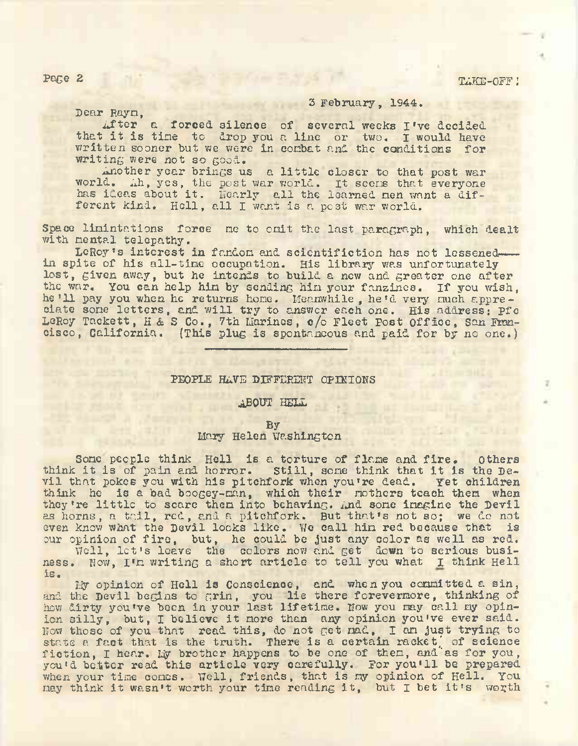Page 2 TAKE-OFF J

3 February, 1944.

Dear Rayn,

 $-10 - 3$ 

After a forced silence of several weeks I've decided that it is tine to drop you <sup>a</sup> line or two. I would have written sooner but we were in combat and the conditions for writing were not so good.

Another year brings us a little closer to that post war world. Ah, yes, the post war world. It scens that everyone worid. In, yes, the post war worid. It seems that everyone<br>has ideas about it. Hearly all the learned nen want a different kind. Hell, all I want is a post war world.

Space limintations force me to omit the last paragraph, which dealt with mental telepathy.

LeRoy's interest in fandom and scientifiction has not lessenedin spite of his all-time occupation. His library was unfortunately lost, given away, but he intends to build a new and greater one after the war. You can help hin by sending hin your fanzines. If you wish, he'll pay you when he returns home. Meanwhile, he'd very much appreciate sone letters, and will try to answer each one. His address: Pfo LeRoy Tackett, <sup>H</sup> & <sup>S</sup> Co., 7th Marines, c/o Fleet Post Office, San Francisco, California. (This plug is spontaneous and paid for by no one.)

### PEOPLE HAVE DIFFERENT OPINIONS

# ABOUT HELL

### By

## Mary Helen Washington

Sone people think Hell is a torture of flame and fire. Others sone people think Hell is a torture of fitne and fire. Others<br>think it is of pain and horror. Still, some think that it is the Devil that pokes you with his pitchfork when you're dead. Yet children think he is a bad boogey-man, which their nothers teach them when they're little to scare then into behaving. And sone imagine the Devil as horns, a tail, red, and a pitchfork. But that's not so; we do not as horns, a tail, red, and a pitchfork. But that's not so; we do not even know what the Devil looks like. We call hin red because that is our opinion of fire, but, he could be just any color as well as red.

pinion of tire, but, he could be just any color as well as red.<br>Well, let's leave the colors now and get down to serious business. Now, I'm writing a short article to tell you what I think Hell is.

My opinion of Hell is Conscience, and when you committed a sin, and the Devil begins to grin, you lie there forevermore, thinking of how dirty you've been in your last lifetime. Now you may call my opinion silly, but, I believe it more than any opinion you've ever said. Now those of you that read this, do not get mad, I am just trying to state a fact that is the truth. There is a certain racket, of science fiction, I hear. My brother happens to be one of them, and as for you, you'd better read this article very carefully. For you'll be prepared when your time comes. Well, friends, that is my opinion of Hell. You may think it wasn't worth your time reading it, but <sup>I</sup> bet it'<sup>s</sup> worth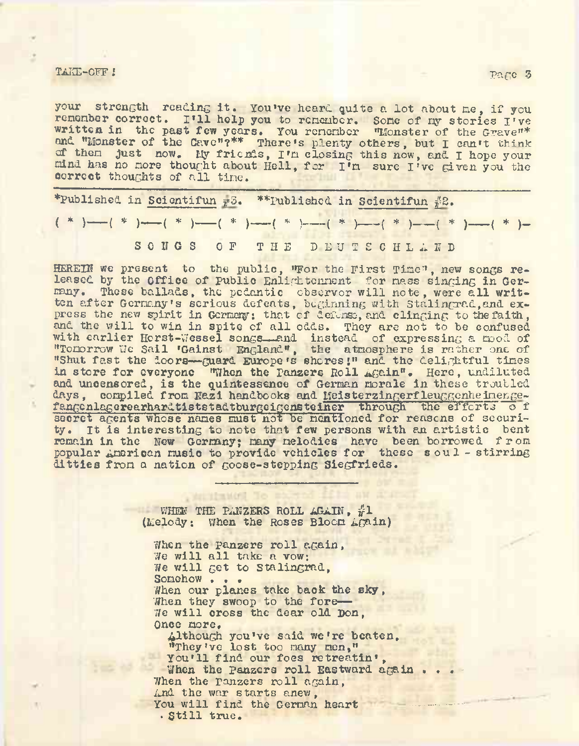## TAKE-OFF JUNEAU ART DE LA COMPLETE DE LA COMPLETE DE LA COMPLETE DE LA COMPLETE DE LA COMPLETE DE LA COMPLETE <br>De la completa de la completa de la completa de la completa de la completa de la completa de la completa de la

your strength reading it. You've heard quite <sup>a</sup> lot about me, if you remember correct. I'll help you to remember. Sone of my stories I've written in the past few years. You remember "Monster of the Grave"\* and "Monster of the Cave"?\*\* There's plenty others, but I can't think of then just now. My friends, I'<sup>m</sup> closing this now, and <sup>I</sup> hope your mind has no nore thought about Hell, for I'<sup>n</sup> sure I've given you the correct thoughts of all time.

\*Published in Scientifun  $\#3$ . \*\*Published in Scientifun  $\#2$ . ( \* )-----( \* )----- ( \* )-----( \* )------( \* )—-( \* )----- ( \* )----- ( \* )----- { \* )- SONGS OF THE DEUTSCHLAND

HEREIN we present to the public, "For the First Tine", new songs released by the Office of Public Enlightchment for nass singing in Germany. These ballads, the pedantic observer will note, were all written after Gcrnany's serious defeats, beginning with Stalingrad,and express the new spirit in Germany; that of defense, and clinging to the faith, and the will to win in spite of all odds. They are not to be confused with earlier Horst-Wessel songs—and instead of expressing a mod of "Tomorrow We Sail 'Gainst England", the atmosphere is rather one of "Shut fast the doors—guard Europe's shores J" and the delightful tines in store for everyone "When the Panzers Roll Again". Here, undiluted and uncensored, is the quintessence of German morale in these troubled days, compiled from Nazi handbooks and MeisterzingerfleuggcnheimengefanGenlagerearhardtiststadtburgcigensteiner through the efforts <sup>o</sup> f secret agents whose names must not be mentioned for reasons of security. It is interesting to note that few persons with an artistic bent remain in the New Germany; many melodies have been borrowed from popular American music to provide vehicles for these soul - stirring ditties from a nation of goose-stepping Siegfrieds.

> WHEN THE PANZERS ROLL AGAIN, #1 (Melody; When the Roses Bloom Again)

 $\Box$  if  $\Box$  in the  $\Box$ 

When the panzers roll again, We will all take a vow: We will get to Stalingrad, Somehow . . . When our planes take back the sky, When they swoop to the fore-We will cross the dear old Don, Once more, Although you've said we're beaten, "They've lost too many men," You'll find our foes retreatin', When the Panzers roll Eastward again.<br>When the panzers roll again, And the war starts anew, You will find the German heart . Still true.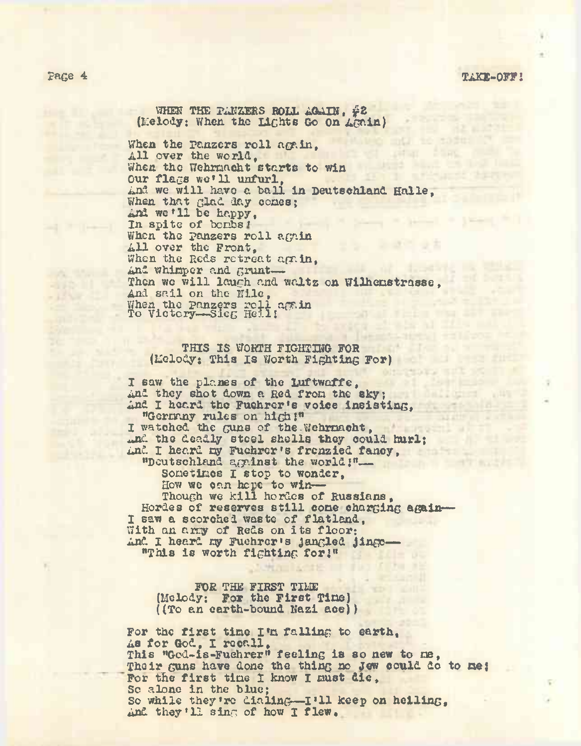### page 4 **TAKE-OFF<sup>I</sup>**

WHEN THE PANZERS ROLL AGAIN, #2 (Melody: When the Lights Go On Again)

When the panzers roll again, All over the world, When the Wehrmacht starts to win Our flags we'll unfurl,<br>And we will have a ball in Deutschland Halle, Our fines we' <sup>11</sup> unfurl, When that glad day comes; And we '11 be happy, Sound Wilson P. Down In spite of benbs!<br>When the panzers roll again All over the Front, When the Reds retreat again, And whimper and grunt-Then we will laugh and waltz on Wilhenstrasse, And sail on the Nile, When the Panzers roll again To Victory-Sieg Heil!

## THIS IS WORTH FIGHTING FOR (Melody: This Is Worth Fighting For)

**THE CARD IS** 

I saw the planes of the Luftwaffe, And they shot down a Red from the sky; And I heard the Fuehrer's voice insisting, "Germay rules on high!" I watched the guns of the Wehrmacht, .nd the deadly steel shells they could hurl; And the deadly stoel shells they could murl;<br>And I heard my Fuehrer's frenzied fancy, ''Deutschland against the world!"— Sonetines I stop to wonder, How we can hope to win— Though we kill hordes of Russians, Hordes of reserves still cone charging again-I saw a scorched waste of flatland, With an arry of Reds on its floor: And I heard my Fuehrer's jangled jingo— "This is worth fighting for!"

FOR THE FIRST TIME (Melody; For the First Tine) ((To an earth-bound Nazi ace))

For the first tine I'<sup>n</sup> falling to earth, As for God, I recall, This "God-is-Fuehrer'' feeling is so new to me, Their guns have done the thing no Jew could do to me! For the first time I know I must die, Sc alone in the blue; Sc while they're dialing—I'll keep on helling, And they'll sing of how I flew.

**Him Is te IT**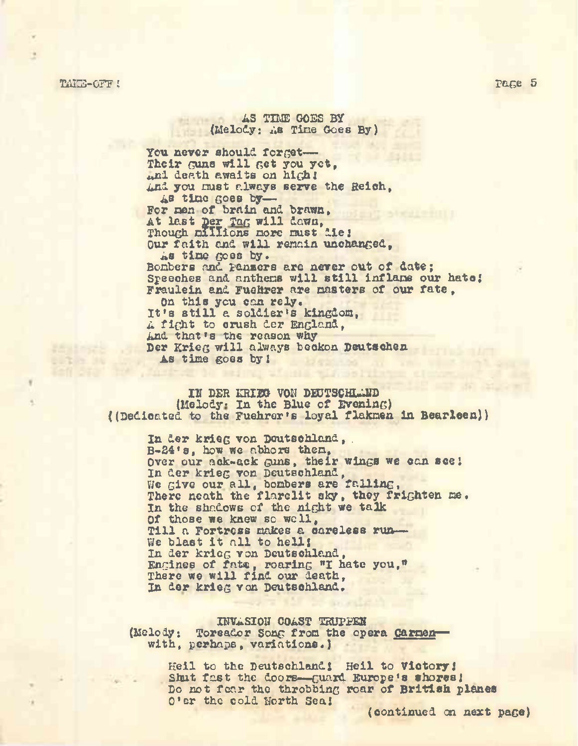TAKE-OFF ! Page 5

AS TIME GOES BY (Melody: As Tine Goes By)

You never should forget-Their guns will Get you yet,  $_{4}$ nl death awaits on high! And you must always serve the Reich, As tine goes by— For zien of brain and brawn, At last Der Tag will dawn, Though millions more must die! Our faith and will renain unchanged, As tine goes by. Bonbers and panzers are never out of date; Speeches and anthems will still inflane our hate; Fraulein and Fuehrer are masters of our fate. On this you can rely. It'<sup>s</sup> still <sup>a</sup> soldier'<sup>s</sup> kingdom, <sup>A</sup> fight to crush der England, And that's the reason why Der Krieg will always beckon Deutschen As tine goes by!

IN DER KRIEG VOII DEUTSCHLAED (Melody: In the Blue of Evening) ((Dedicated to the Fuehrer's loyal flaknen in Bearleen))

> In der krieg von Deutschland, . B-24'8, how we abhors then, Over our ack-ack Guns, their wings we can see! In der krieg von Deutschland, We give our all, bombers are falling, There neath the flarelit sky, they frighten me. In the shadows of the night we talk Of those we knew so well, Till a Fortress makes a careless run— We blast it all to hell! In der krieg von Deutschland, Engines of fate, roaring "I hate you," There we will find our death, In der krieg von Deutschland.

#### IWASIOIT COAST TEUPPEN (Melody: Toreador Song from the opera Carmenwith, perhaps, variations.)

Heil to the Deutschland; Hell to Victory; Shut fast the doors--guard Europe's shores; Do not fear the throbbing roar of British planes <sup>O</sup>'er the cold Worth Sea!

(continued on next page)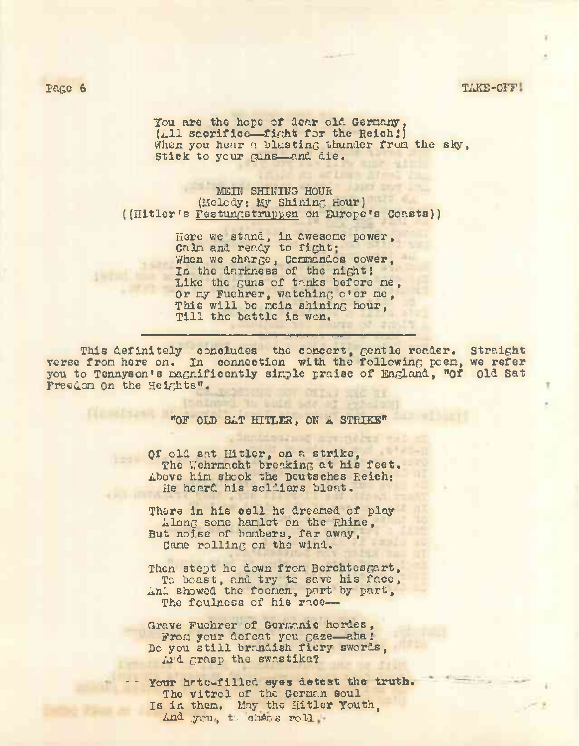### page 6 TAKE-OFF

You are the hope of dear old Germany,  $(4.11$  sacrifice—fight for the Reich!) When you hear a blasting thunder from the sky, Stick to your guns-and die.

MEIN SHINING HOUR (Melody: My Shininc, Hour) ((Hitler's Festungstruppen on Europe's Coasts))

> Here we stand, in awesome power, Caln and ready to fight; When we charge, Commandos cower, In the darkness of the night <sup>I</sup> Like the guns of tanks before ne , Or ny Fuehrer, watching o'er ne, This will be nein shining hour, Till the battle is won.

This definitely concludes the concert, gentle reader. Straight verse fron here on. In connection with the following poen, we refer you to Tennyson's magnificently sinple praise of England, "Of Old Sat Freedom on the Heights".

#### "0F OLD SAT HITLER, ON A STRIKE"

Of old sat Hitler, on a strike, The Wehrmacht breaking at his feet. Above him shook the Deutsches Reich: He heard his soldiers blent.

There in his cell he dreamed of play Along some hamlet on the Rhine, But noise of bombers, far away, Cane rolling on the wind.

Then stept he down from Bcrchtesgart, To boast, and try to save his face, And showed the foenen, part by part, The foulness of his race—

Grave Fuchrer of Germanic hordes, From your defeat you gaze—aha.' Do you still brandish fiery swords, Ard grasp the swastika?

Your hate-filled eyes detest the truth. The vitro<sup>1</sup> of the German soul Is in them. May the Hitler Youth,  $And$  .you, to chaos roll -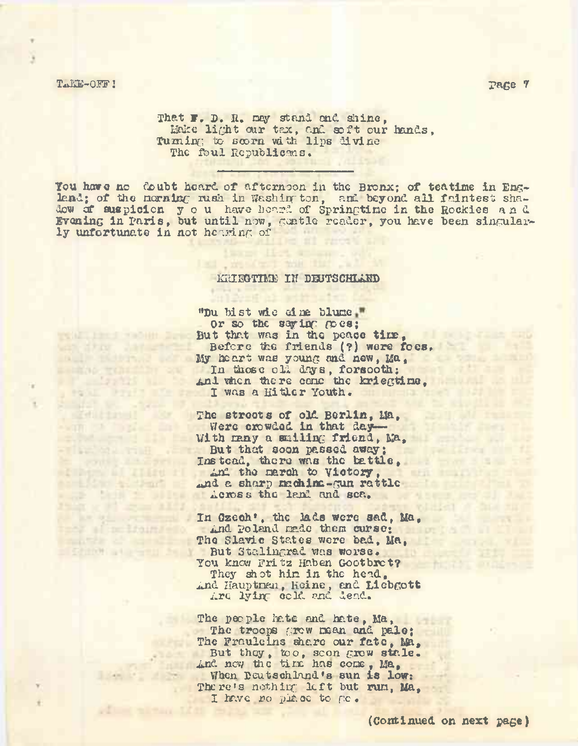## Takk-OFF! page  $7$

**ALLE BOUTLE CO** ESSENCE TENERATION Friedrich L **POLE PINETIE STATISTICS SEMILIANAI** with the lines

**Filter Manager** 

and Carl and Don't **A SEP LATE OF SA**  $25.01 \times 10^4$  and  $23$ All an exception

ters al miliauxiello **CONTRACTOR** AND INCOME. STEPHEN STREET

That F. D. R. ney stand and shine, Make light our tax, and soft our hands, Turning to scorn with lips divine The foul Republicans.

You have no doubt heard of afternoon in the Bronx; of teatine in England; of the morning rush in Washington, and beyond all faintest shadow of suspicion you have heard of Springtime in the Rockies and Evening in Paris, but until now, gentle reader, you have been singularly unfortunate in not hearing of

### KRIEGTIME IN DEUTSCHLAND

.misteri mil

"Du bist wie ein& blume Or so the saying goes; But that was in the peace time, Before the friends (?) were foes. My he art was young and new, Ma , In those old days, forsooth; And when there cane the kriegtine, I was a Hitler Youth.

The streets of old Berlin, Ma, Were crowded in that day-With many a smiling friend, Ma, But that soon passed away; Instead, there was the battle, And the march to Victory, and a sharp machine-gun rattle Across the land and sea.

In Czech', the lads were sad, Ma, And Poland made them curse; The Slavic States were bad. Ma. But Stalingrad was worse. You know Fritz Haben Gootbret? They shot him in the head, And Hauptman, Heine, and Liebgott Are lying cold and dead.

The people hate and hate, Ma, The troops grow mean and pale; The Frauleins share our fate, Ma, But they, too, scon grow stale. And new the tirx has come , Ma, When Deutschland's sun is low; There's nothing: left but run, Ma, I have no piace to go.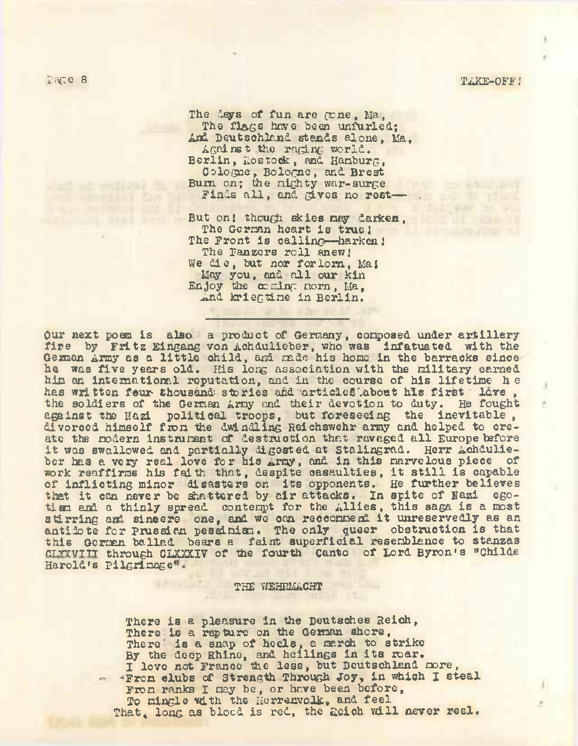The deys of fun are *ccne,* Ma, The flags have been unfurled: And Deutschland stands alone, Ma, AGains t the raging world. Berlin, Rostock, and Hamburg, Cologne, Bologna, and Brest Burn on; the mighty war-surge Finds all, and gives no rest—

But on! though skies nay darken, The German heart is true! The Front is calling—harken!<br>The Fanzers roll anew! We die, but nor forlorn, Maj May you, and all our kin Enjoy the coming morn, Ma, And kriegtine in Berlin.

Our next poem is also a product of Germany, composed under artillery fire by Fritz Eingang von Achdulieber, who was infatuated, with the German Army as <sup>a</sup> little child, and made his hone in the barracks since he was five years old. His long association with the military earned him an international reputation, and in the course of his lifetime h e has written feur thousand: stories and articles about his first love , the soldiers of the German Amy and their devotion to duty. He fought against the Nazi political troops, but foreseeing the inevitable, divorced himself from the dwindling Reichswehr army and helped to create the modern instrument of destruction that ravaged all Europe before it was swallowed and partially digested at Stalingrad. Herr Achdulieber has a very real love for his Army, and in this marvelous piece of work reaffirms his faith that, despite casaulties, it still is capable of inflicting minor disasters on its opponents. He further believes that it can never be shattered by air attacks. In spite of Nazi egotism and a thinly spread contempt for the Allies, this saga is a most stirring and sincere one, and we can recconmend it unreservedly as an antidote for Prussian pessimism. The only queer obstruction is that this German ballad bears a faint superficial resemblance to stanzas r.T.TZVTTT through CLXXX.IV of the fourth Canto of Lord Byron's "Childe Harold's pilgrimage".

#### THE WEHRMACHT

There is a pleasure in the Deutsches Reich, There is a rapture on the German shore, There is a snap of heels, a march to strike By the deep Rhine, and heilings in its roar. I love not France the less, but Deutschland more, \*Fron elubs of strength Through Joy, in which I steal From ranks I may be, or have been before, To mingle with the Herrenvolk, and feel That, long as blood is red, the Reich will never reel.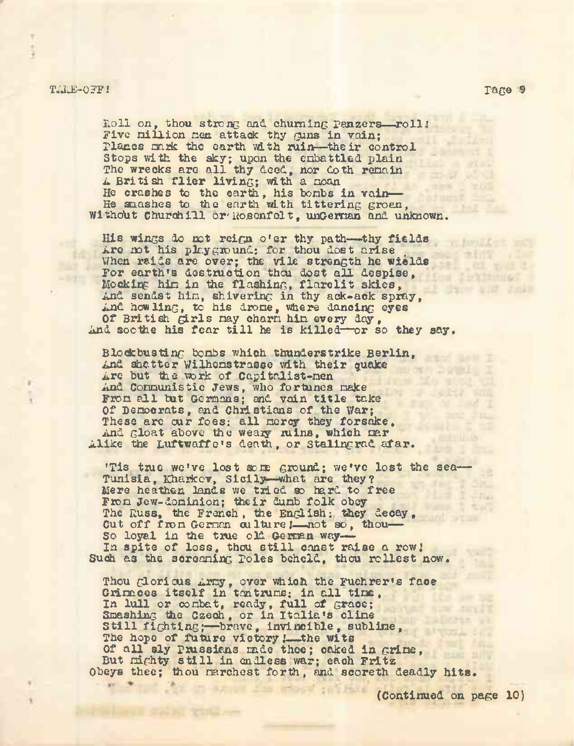## TAKE-OFF! rage §

Loll on, thou strong and churning Panzers—roll' Five million men attack thy guns in vain; planes mark the earth with ruin—-their control Stops with the sky; upon the embattled plain The wrecks are all thy deed, nor do the remain <sup>A</sup> British flier living; with <sup>a</sup> moan He crashes to the earth, his bombs in vain— He snashes to the earth with tittering groen, Without Churchill or Rosenfelt, unGernan and unknown.

His wings do not reign o'er thy path—thy fields<br>Are not his playground: for thou dost arise Are not his playground: for thou dost arise . When raids are over; the vile strength he wields For earth's destruction thou dost all despise, Mocking him in the flashing, flarelit skies, And sendst him, shivering in thy ack-ack spray, And how ling, to his drome, where dancing eyes Of British girls may charm him every day, And soothe his fear till he is killed—or so they say.

Blockbusting bombs which thunderstrike Berlin, And shatter Wilhemstrasse with their quake<br>Are but the work of Capitalist-men Are but the work of Capitalist-men And Communistic Jews, who fortunes make From all tut Germans; and vain title take Of Democrats, and Christians of the War; These are our foes: all mercy they forsake, And gloat above the weary ruins, which mar Alike the Luftwaffe's death, or Stalingrad afar.

"Tis true we've lost sore ground; we've lost the sea— Tunisia, Kharkov, Sicily—what are they? Mere heathen lands we tried so hard to free From Jew-dominion; their dumb folk obey The Russ, the French, the English: they decay, Cut off from German culture !- not so, thou-So loyal in the true old German way-In spite of loss, thou still const raise a row! Such as the screaming Poles beheld, thou rollest now.

Thou glorious Army, over which the Fuehrer's face Grimaces itself in tantrums; in all time, In lull or combat, ready, full of grace; Smashing the Czech, or in Italia's clime Still fighting;—brave, invincible, sublime, The hope of future victory ! the wits Of all sly Prussians made thee; caked in grime, OI all sly Prussians made thee; caked in Gr<br>But nighty still in endless war; each Fritz Obeys thee; thou marchest forth, and scoreth deadly hits.

(Continued on page 10)